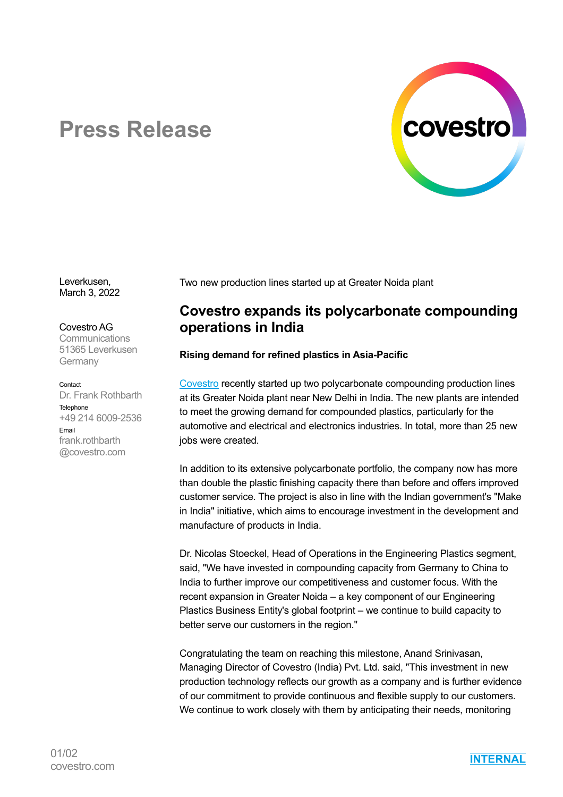

# **Press Release**

Leverkusen, March 3, 2022

Covestro AG **Communications** 51365 Leverkusen **Germany** 

Contact Dr. Frank Rothbarth Telephone +49 214 6009-2536 Email frank.rothbarth @covestro.com

Two new production lines started up at Greater Noida plant

## **Covestro expands its polycarbonate compounding operations in India**

### **Rising demand for refined plastics in Asia-Pacific**

Covestro recently started up two polycarbonate compounding production lines at its Greater Noida plant near New Delhi in India. The new plants are intended to meet the growing demand for compounded plastics, particularly for the automotive and electrical and electronics industries. In total, more than 25 new jobs were created.

In addition to its extensive polycarbonate portfolio, the company now has more than double the plastic finishing capacity there than before and offers improved customer service. The project is also in line with the Indian government's "Make in India" initiative, which aims to encourage investment in the development and manufacture of products in India.

Dr. Nicolas Stoeckel, Head of Operations in the Engineering Plastics segment, said, "We have invested in compounding capacity from Germany to China to India to further improve our competitiveness and customer focus. With the recent expansion in Greater Noida – a key component of our Engineering Plastics Business Entity's global footprint – we continue to build capacity to better serve our customers in the region."

Congratulating the team on reaching this milestone, Anand Srinivasan, Managing Director of Covestro (India) Pvt. Ltd. said, "This investment in new production technology reflects our growth as a company and is further evidence of our commitment to provide continuous and flexible supply to our customers. We continue to work closely with them by anticipating their needs, monitoring